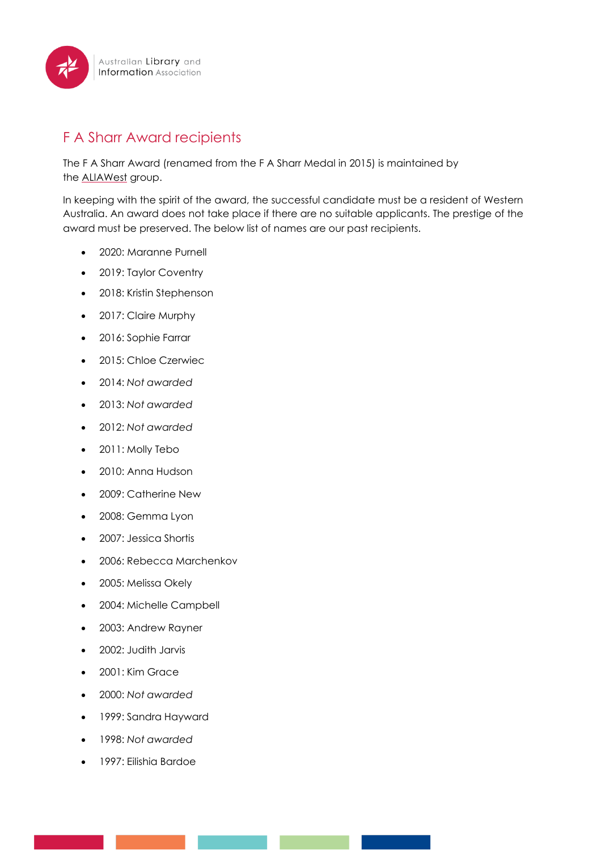

## F A Sharr Award recipients

The F A Sharr Award (renamed from the F A Sharr Medal in 2015) is maintained by the [ALIAWest](https://www.alia.org.au/groups/aliawest) group.

In keeping with the spirit of the award, the successful candidate must be a resident of Western Australia. An award does not take place if there are no suitable applicants. The prestige of the award must be preserved. The below list of names are our past recipients.

- 2020: Maranne Purnell
- 2019: Taylor Coventry
- 2018: Kristin Stephenson
- 2017: Claire Murphy
- 2016: Sophie Farrar
- 2015: Chloe Czerwiec
- 2014: *Not awarded*
- 2013: *Not awarded*
- 2012: *Not awarded*
- 2011: Molly Tebo
- 2010: Anna Hudson
- 2009: Catherine New
- 2008: Gemma Lyon
- 2007: Jessica Shortis
- 2006: Rebecca Marchenkov
- 2005: Melissa Okely
- 2004: Michelle Campbell
- 2003: Andrew Rayner
- 2002: Judith Jarvis
- 2001: Kim Grace
- 2000: *Not awarded*
- 1999: Sandra Hayward
- 1998: *Not awarded*
- 1997: Eilishia Bardoe